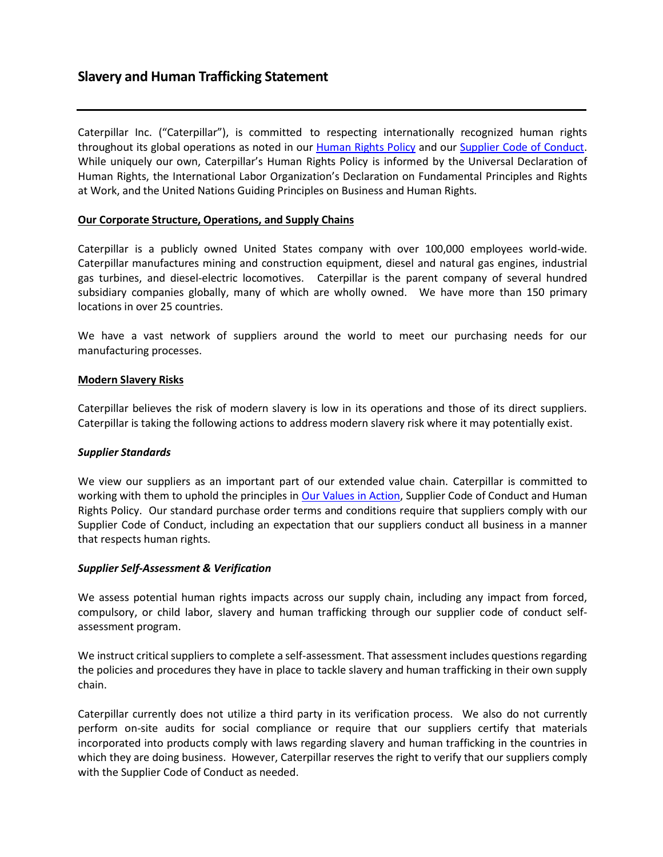Caterpillar Inc. ("Caterpillar"), is committed to respecting internationally recognized human rights throughout its global operations as noted in our **Human Rights Policy and our Supplier Code of Conduct**. While uniquely our own, Caterpillar's Human Rights Policy is informed by the Universal Declaration of Human Rights, the International Labor Organization's Declaration on Fundamental Principles and Rights at Work, and the United Nations Guiding Principles on Business and Human Rights.

# **Our Corporate Structure, Operations, and Supply Chains**

Caterpillar is a publicly owned United States company with over 100,000 employees world-wide. Caterpillar manufactures mining and construction equipment, diesel and natural gas engines, industrial gas turbines, and diesel-electric locomotives. Caterpillar is the parent company of several hundred subsidiary companies globally, many of which are wholly owned. We have more than 150 primary locations in over 25 countries.

We have a vast network of suppliers around the world to meet our purchasing needs for our manufacturing processes.

# **Modern Slavery Risks**

Caterpillar believes the risk of modern slavery is low in its operations and those of its direct suppliers. Caterpillar is taking the following actions to address modern slavery risk where it may potentially exist.

# *Supplier Standards*

We view our suppliers as an important part of our extended value chain. Caterpillar is committed to working with them to uphold the principles in Our Values in [Action,](http://www.caterpillar.com/en/company/code-of-conduct.html) Supplier Code of [Conduct](http://www.caterpillar.com/en/company/suppliers/supplier-conduct.html) and Human Rights Policy. Our standard purchase order terms and conditions require that suppliers comply with our Supplier Code of Conduct, including an expectation that our suppliers conduct all business in a manner that respects human rights.

# *Supplier Self-Assessment & Verification*

We assess potential human rights impacts across our supply chain, including any impact from forced, compulsory, or child labor, slavery and human trafficking through our supplier code of conduct selfassessment program.

We instruct critical suppliers to complete a self-assessment. That assessment includes questions regarding the policies and procedures they have in place to tackle slavery and human trafficking in their own supply chain.

Caterpillar currently does not utilize a third party in its verification process. We also do not currently perform on-site audits for social compliance or require that our suppliers certify that materials incorporated into products comply with laws regarding slavery and human trafficking in the countries in which they are doing business. However, Caterpillar reserves the right to verify that our suppliers comply with the Supplier Code of Conduct as needed.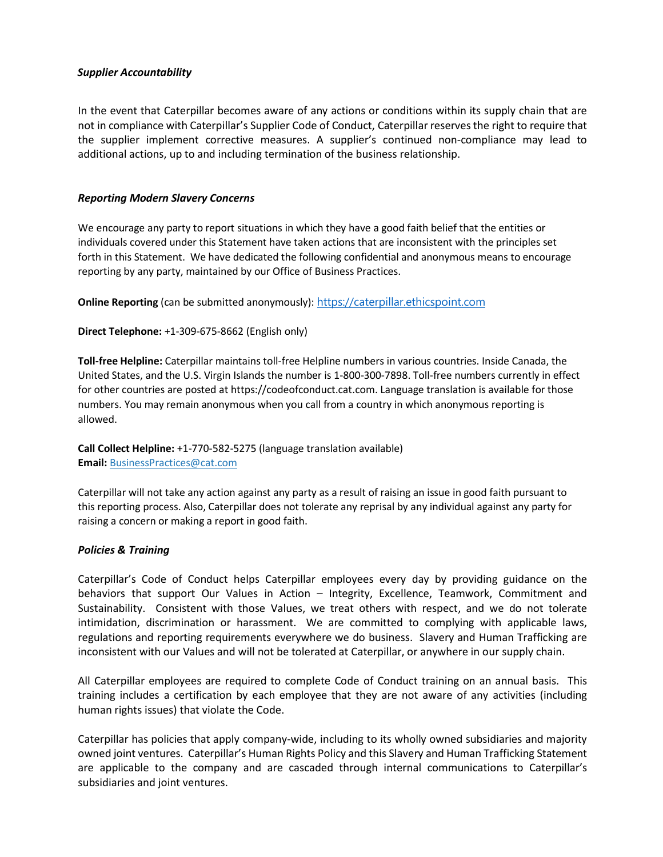# *Supplier Accountability*

In the event that Caterpillar becomes aware of any actions or conditions within its supply chain that are not in compliance with Caterpillar's Supplier Code of Conduct, Caterpillar reservesthe right to require that the supplier implement corrective measures. A supplier's continued non-compliance may lead to additional actions, up to and including termination of the business relationship.

#### *Reporting Modern Slavery Concerns*

We encourage any party to report situations in which they have a good faith belief that the entities or individuals covered under this Statement have taken actions that are inconsistent with the principles set forth in this Statement. We have dedicated the following confidential and anonymous means to encourage reporting by any party, maintained by our Office of Business Practices.

**Online Reporting** (can be submitted anonymously): [https://caterpillar.ethicspoint.com](https://caterpillar.ethicspoint.com/)

**Direct Telephone:** +1-309-675-8662 (English only)

**Toll-free Helpline:** Caterpillar maintains toll-free Helpline numbers in various countries. Inside Canada, the United States, and the U.S. Virgin Islands the number is 1-800-300-7898. Toll-free numbers currently in effect for other countries are posted at https://codeofconduct.cat.com. Language translation is available for those numbers. You may remain anonymous when you call from a country in which anonymous reporting is allowed.

**Call Collect Helpline:** +1-770-582-5275 (language translation available) **Email:** [BusinessPractices@cat.com](mailto:BusinessPractices@cat.com)

Caterpillar will not take any action against any party as a result of raising an issue in good faith pursuant to this reporting process. Also, Caterpillar does not tolerate any reprisal by any individual against any party for raising a concern or making a report in good faith.

#### *Policies & Training*

Caterpillar's Code of Conduct helps Caterpillar employees every day by providing guidance on the behaviors that support Our Values in Action – Integrity, Excellence, Teamwork, Commitment and Sustainability. Consistent with those Values, we treat others with respect, and we do not tolerate intimidation, discrimination or harassment. We are committed to complying with applicable laws, regulations and reporting requirements everywhere we do business. Slavery and Human Trafficking are inconsistent with our Values and will not be tolerated at Caterpillar, or anywhere in our supply chain.

All Caterpillar employees are required to complete Code of Conduct training on an annual basis. This training includes a certification by each employee that they are not aware of any activities (including human rights issues) that violate the Code.

Caterpillar has policies that apply company-wide, including to its wholly owned subsidiaries and majority owned joint ventures. Caterpillar's Human Rights Policy and this Slavery and Human Trafficking Statement are applicable to the company and are cascaded through internal communications to Caterpillar's subsidiaries and joint ventures.